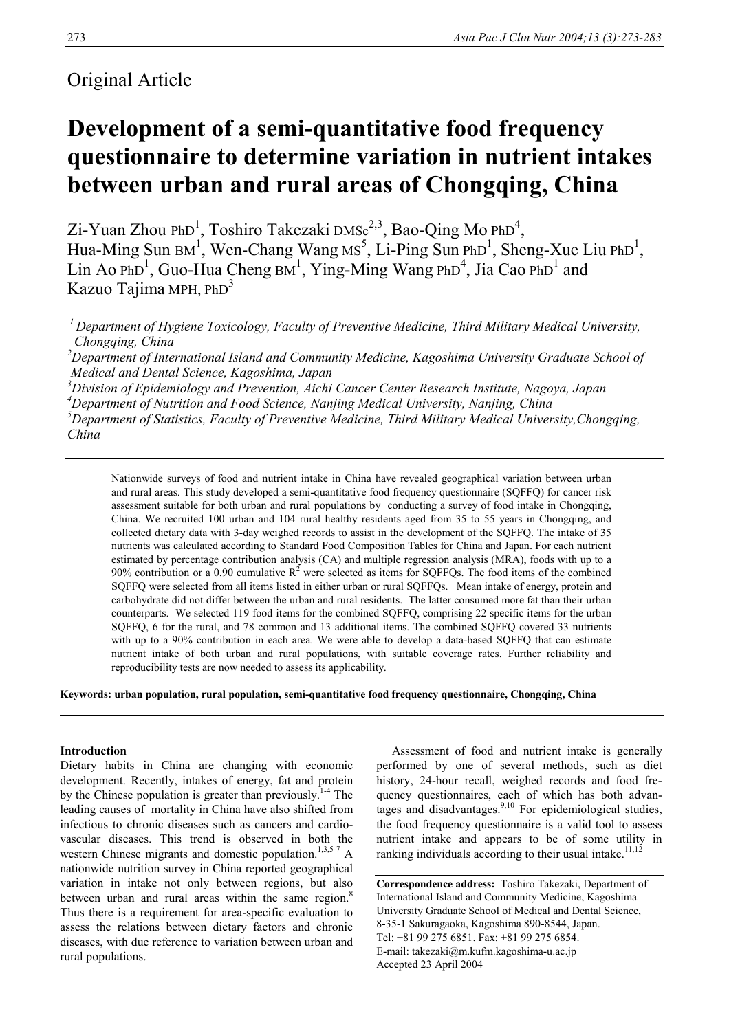# Original Article

# **Development of a semi-quantitative food frequency questionnaire to determine variation in nutrient intakes between urban and rural areas of Chongqing, China**

Zi-Yuan Zhou PhD<sup>1</sup>, Toshiro Takezaki DMSc<sup>2,3</sup>, Bao-Qing Mo PhD<sup>4</sup>, Hua-Ming Sun BM<sup>1</sup>, Wen-Chang Wang MS<sup>5</sup>, Li-Ping Sun PhD<sup>1</sup>, Sheng-Xue Liu PhD<sup>1</sup>, Lin Ao PhD<sup>1</sup>, Guo-Hua Cheng  $BM<sup>1</sup>$ , Ying-Ming Wang PhD<sup>4</sup>, Jia Cao PhD<sup>1</sup> and Kazuo Tajima MPH, PhD<sup>3</sup>

 *1 Department of Hygiene Toxicology, Faculty of Preventive Medicine, Third Military Medical University, Chongqing, China* 

*2 Department of International Island and Community Medicine, Kagoshima University Graduate School of Medical and Dental Science, Kagoshima, Japan* 

 *Division of Epidemiology and Prevention, Aichi Cancer Center Research Institute, Nagoya, Japan Department of Nutrition and Food Science, Nanjing Medical University, Nanjing, China Department of Statistics, Faculty of Preventive Medicine, Third Military Medical University,Chongqing, China* 

Nationwide surveys of food and nutrient intake in China have revealed geographical variation between urban and rural areas. This study developed a semi-quantitative food frequency questionnaire (SQFFQ) for cancer risk assessment suitable for both urban and rural populations by conducting a survey of food intake in Chongqing, China. We recruited 100 urban and 104 rural healthy residents aged from 35 to 55 years in Chongqing, and collected dietary data with 3-day weighed records to assist in the development of the SQFFQ. The intake of 35 nutrients was calculated according to Standard Food Composition Tables for China and Japan. For each nutrient estimated by percentage contribution analysis (CA) and multiple regression analysis (MRA), foods with up to a 90% contribution or a 0.90 cumulative  $R^2$  were selected as items for SQFFQs. The food items of the combined SQFFQ were selected from all items listed in either urban or rural SQFFQs. Mean intake of energy, protein and carbohydrate did not differ between the urban and rural residents. The latter consumed more fat than their urban counterparts. We selected 119 food items for the combined SQFFQ, comprising 22 specific items for the urban SQFFQ, 6 for the rural, and 78 common and 13 additional items. The combined SQFFQ covered 33 nutrients with up to a 90% contribution in each area. We were able to develop a data-based SQFFQ that can estimate nutrient intake of both urban and rural populations, with suitable coverage rates. Further reliability and reproducibility tests are now needed to assess its applicability.

**Keywords: urban population, rural population, semi-quantitative food frequency questionnaire, Chongqing, China** 

# **Introduction**

Dietary habits in China are changing with economic development. Recently, intakes of energy, fat and protein by the Chinese population is greater than previously.<sup>1-4</sup> The leading causes of mortality in China have also shifted from infectious to chronic diseases such as cancers and cardiovascular diseases. This trend is observed in both the western Chinese migrants and domestic population.<sup>1,3,5-7</sup> A nationwide nutrition survey in China reported geographical variation in intake not only between regions, but also between urban and rural areas within the same region. $8$ Thus there is a requirement for area-specific evaluation to assess the relations between dietary factors and chronic diseases, with due reference to variation between urban and rural populations.

 Assessment of food and nutrient intake is generally performed by one of several methods, such as diet history, 24-hour recall, weighed records and food frequency questionnaires, each of which has both advantages and disadvantages. $9,10$  For epidemiological studies, the food frequency questionnaire is a valid tool to assess nutrient intake and appears to be of some utility in ranking individuals according to their usual intake.<sup>11,12</sup>

**Correspondence address:** Toshiro Takezaki, Department of International Island and Community Medicine, Kagoshima University Graduate School of Medical and Dental Science, 8-35-1 Sakuragaoka, Kagoshima 890-8544, Japan. Tel: +81 99 275 6851. Fax: +81 99 275 6854. E-mail: takezaki@m.kufm.kagoshima-u.ac.jp Accepted 23 April 2004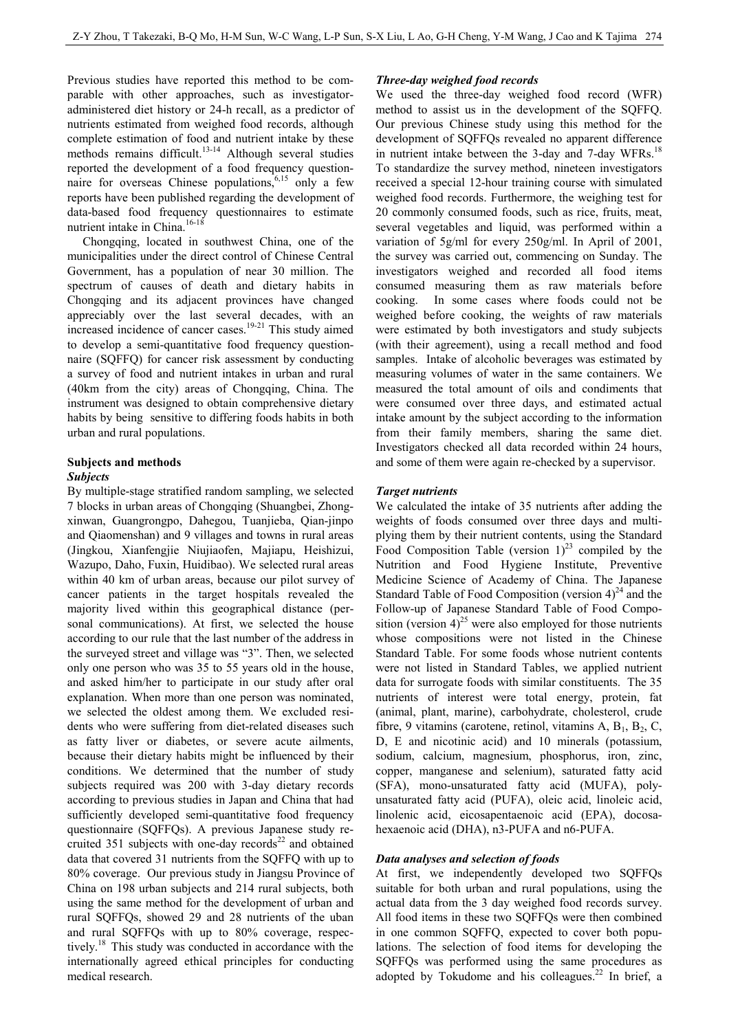Previous studies have reported this method to be comparable with other approaches, such as investigatoradministered diet history or 24-h recall, as a predictor of nutrients estimated from weighed food records, although complete estimation of food and nutrient intake by these methods remains difficult.<sup>13-14</sup> Although several studies reported the development of a food frequency questionnaire for overseas Chinese populations,  $6,15$  only a few reports have been published regarding the development of data-based food frequency questionnaires to estimate nutrient intake in China.<sup>16-18</sup>

 Chongqing, located in southwest China, one of the municipalities under the direct control of Chinese Central Government, has a population of near 30 million. The spectrum of causes of death and dietary habits in Chongqing and its adjacent provinces have changed appreciably over the last several decades, with an increased incidence of cancer cases.<sup>19-21</sup> This study aimed to develop a semi-quantitative food frequency questionnaire (SQFFQ) for cancer risk assessment by conducting a survey of food and nutrient intakes in urban and rural (40km from the city) areas of Chongqing, China. The instrument was designed to obtain comprehensive dietary habits by being sensitive to differing foods habits in both urban and rural populations.

### **Subjects and methods**

# *Subjects*

By multiple-stage stratified random sampling, we selected 7 blocks in urban areas of Chongqing (Shuangbei, Zhongxinwan, Guangrongpo, Dahegou, Tuanjieba, Qian-jinpo and Qiaomenshan) and 9 villages and towns in rural areas (Jingkou, Xianfengjie Niujiaofen, Majiapu, Heishizui, Wazupo, Daho, Fuxin, Huidibao). We selected rural areas within 40 km of urban areas, because our pilot survey of cancer patients in the target hospitals revealed the majority lived within this geographical distance (personal communications). At first, we selected the house according to our rule that the last number of the address in the surveyed street and village was "3". Then, we selected only one person who was 35 to 55 years old in the house, and asked him/her to participate in our study after oral explanation. When more than one person was nominated, we selected the oldest among them. We excluded residents who were suffering from diet-related diseases such as fatty liver or diabetes, or severe acute ailments, because their dietary habits might be influenced by their conditions. We determined that the number of study subjects required was 200 with 3-day dietary records according to previous studies in Japan and China that had sufficiently developed semi-quantitative food frequency questionnaire (SQFFQs). A previous Japanese study recruited 351 subjects with one-day records<sup>22</sup> and obtained data that covered 31 nutrients from the SQFFQ with up to 80% coverage. Our previous study in Jiangsu Province of China on 198 urban subjects and 214 rural subjects, both using the same method for the development of urban and rural SQFFQs, showed 29 and 28 nutrients of the uban and rural SQFFQs with up to 80% coverage, respectively.18 This study was conducted in accordance with the internationally agreed ethical principles for conducting medical research.

#### *Three-day weighed food records*

We used the three-day weighed food record (WFR) method to assist us in the development of the SQFFQ. Our previous Chinese study using this method for the development of SQFFQs revealed no apparent difference in nutrient intake between the 3-day and 7-day WFRs.<sup>18</sup> To standardize the survey method, nineteen investigators received a special 12-hour training course with simulated weighed food records. Furthermore, the weighing test for 20 commonly consumed foods, such as rice, fruits, meat, several vegetables and liquid, was performed within a variation of 5g/ml for every 250g/ml. In April of 2001, the survey was carried out, commencing on Sunday. The investigators weighed and recorded all food items consumed measuring them as raw materials before cooking. In some cases where foods could not be weighed before cooking, the weights of raw materials were estimated by both investigators and study subjects (with their agreement), using a recall method and food samples. Intake of alcoholic beverages was estimated by measuring volumes of water in the same containers. We measured the total amount of oils and condiments that were consumed over three days, and estimated actual intake amount by the subject according to the information from their family members, sharing the same diet. Investigators checked all data recorded within 24 hours, and some of them were again re-checked by a supervisor.

#### *Target nutrients*

We calculated the intake of 35 nutrients after adding the weights of foods consumed over three days and multiplying them by their nutrient contents, using the Standard Food Composition Table (version  $1)^{23}$  compiled by the Nutrition and Food Hygiene Institute, Preventive Medicine Science of Academy of China. The Japanese Standard Table of Food Composition (version  $4)^{24}$  and the Follow-up of Japanese Standard Table of Food Composition (version  $4^{25}$  were also employed for those nutrients whose compositions were not listed in the Chinese Standard Table. For some foods whose nutrient contents were not listed in Standard Tables, we applied nutrient data for surrogate foods with similar constituents. The 35 nutrients of interest were total energy, protein, fat (animal, plant, marine), carbohydrate, cholesterol, crude fibre, 9 vitamins (carotene, retinol, vitamins A,  $B_1$ ,  $B_2$ , C, D, E and nicotinic acid) and 10 minerals (potassium, sodium, calcium, magnesium, phosphorus, iron, zinc, copper, manganese and selenium), saturated fatty acid (SFA), mono-unsaturated fatty acid (MUFA), polyunsaturated fatty acid (PUFA), oleic acid, linoleic acid, linolenic acid, eicosapentaenoic acid (EPA), docosahexaenoic acid (DHA), n3-PUFA and n6-PUFA.

#### *Data analyses and selection of foods*

At first, we independently developed two SQFFQs suitable for both urban and rural populations, using the actual data from the 3 day weighed food records survey. All food items in these two SQFFQs were then combined in one common SQFFQ, expected to cover both populations. The selection of food items for developing the SQFFQs was performed using the same procedures as adopted by Tokudome and his colleagues.<sup>22</sup> In brief, a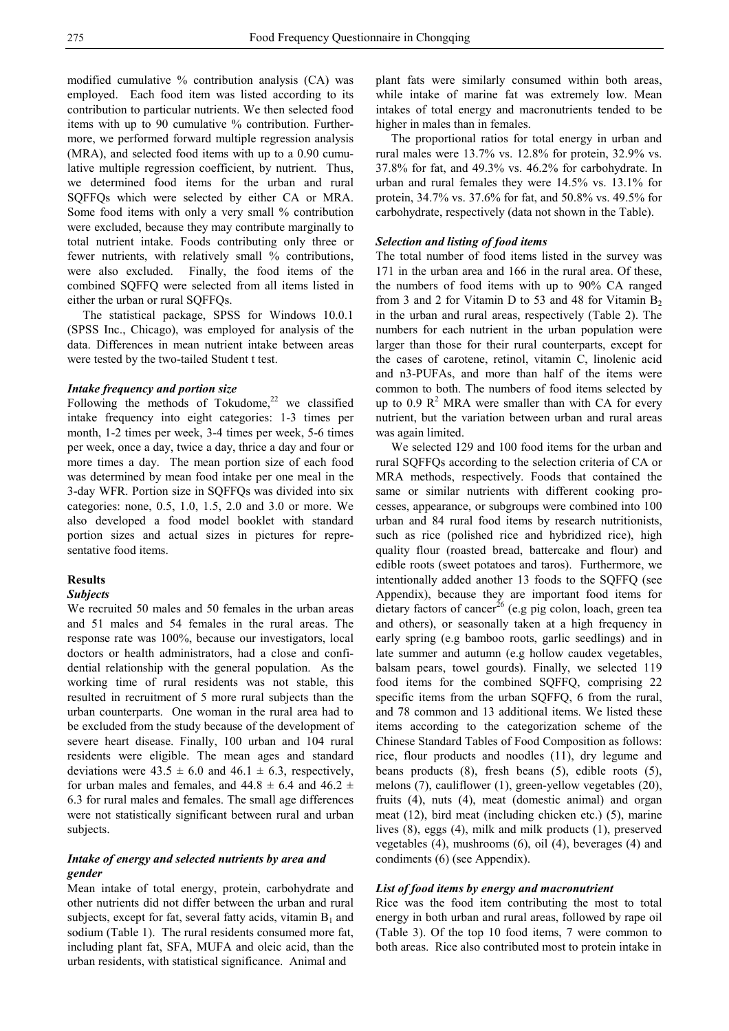modified cumulative % contribution analysis (CA) was employed. Each food item was listed according to its contribution to particular nutrients. We then selected food items with up to 90 cumulative % contribution. Furthermore, we performed forward multiple regression analysis (MRA), and selected food items with up to a 0.90 cumulative multiple regression coefficient, by nutrient. Thus, we determined food items for the urban and rural SQFFQs which were selected by either CA or MRA. Some food items with only a very small % contribution were excluded, because they may contribute marginally to total nutrient intake. Foods contributing only three or fewer nutrients, with relatively small % contributions, were also excluded. Finally, the food items of the combined SQFFQ were selected from all items listed in either the urban or rural SQFFQs.

 The statistical package, SPSS for Windows 10.0.1 (SPSS Inc., Chicago), was employed for analysis of the data. Differences in mean nutrient intake between areas were tested by the two-tailed Student t test.

#### *Intake frequency and portion size*

Following the methods of Tokudome, $22$  we classified intake frequency into eight categories: 1-3 times per month, 1-2 times per week, 3-4 times per week, 5-6 times per week, once a day, twice a day, thrice a day and four or more times a day. The mean portion size of each food was determined by mean food intake per one meal in the 3-day WFR. Portion size in SQFFQs was divided into six categories: none, 0.5, 1.0, 1.5, 2.0 and 3.0 or more. We also developed a food model booklet with standard portion sizes and actual sizes in pictures for representative food items.

#### **Results**

#### *Subjects*

We recruited 50 males and 50 females in the urban areas and 51 males and 54 females in the rural areas. The response rate was 100%, because our investigators, local doctors or health administrators, had a close and confidential relationship with the general population. As the working time of rural residents was not stable, this resulted in recruitment of 5 more rural subjects than the urban counterparts. One woman in the rural area had to be excluded from the study because of the development of severe heart disease. Finally, 100 urban and 104 rural residents were eligible. The mean ages and standard deviations were  $43.5 \pm 6.0$  and  $46.1 \pm 6.3$ , respectively, for urban males and females, and  $44.8 \pm 6.4$  and  $46.2 \pm 1.5$ 6.3 for rural males and females. The small age differences were not statistically significant between rural and urban subjects.

# *Intake of energy and selected nutrients by area and gender*

Mean intake of total energy, protein, carbohydrate and other nutrients did not differ between the urban and rural subjects, except for fat, several fatty acids, vitamin  $B_1$  and sodium (Table 1). The rural residents consumed more fat, including plant fat, SFA, MUFA and oleic acid, than the urban residents, with statistical significance. Animal and

plant fats were similarly consumed within both areas, while intake of marine fat was extremely low. Mean intakes of total energy and macronutrients tended to be higher in males than in females.

 The proportional ratios for total energy in urban and rural males were 13.7% vs. 12.8% for protein, 32.9% vs. 37.8% for fat, and 49.3% vs. 46.2% for carbohydrate. In urban and rural females they were 14.5% vs. 13.1% for protein, 34.7% vs. 37.6% for fat, and 50.8% vs. 49.5% for carbohydrate, respectively (data not shown in the Table).

#### *Selection and listing of food items*

The total number of food items listed in the survey was 171 in the urban area and 166 in the rural area. Of these, the numbers of food items with up to 90% CA ranged from 3 and 2 for Vitamin D to 53 and 48 for Vitamin  $B_2$ in the urban and rural areas, respectively (Table 2). The numbers for each nutrient in the urban population were larger than those for their rural counterparts, except for the cases of carotene, retinol, vitamin C, linolenic acid and n3-PUFAs, and more than half of the items were common to both. The numbers of food items selected by up to 0.9  $\mathbb{R}^2$  MRA were smaller than with CA for every nutrient, but the variation between urban and rural areas was again limited.

 We selected 129 and 100 food items for the urban and rural SQFFQs according to the selection criteria of CA or MRA methods, respectively. Foods that contained the same or similar nutrients with different cooking processes, appearance, or subgroups were combined into 100 urban and 84 rural food items by research nutritionists, such as rice (polished rice and hybridized rice), high quality flour (roasted bread, battercake and flour) and edible roots (sweet potatoes and taros). Furthermore, we intentionally added another 13 foods to the SQFFQ (see Appendix), because they are important food items for dietary factors of cancer<sup>26</sup> (e.g pig colon, loach, green tea and others), or seasonally taken at a high frequency in early spring (e.g bamboo roots, garlic seedlings) and in late summer and autumn (e.g hollow caudex vegetables, balsam pears, towel gourds). Finally, we selected 119 food items for the combined SQFFQ, comprising 22 specific items from the urban SQFFQ, 6 from the rural, and 78 common and 13 additional items. We listed these items according to the categorization scheme of the Chinese Standard Tables of Food Composition as follows: rice, flour products and noodles (11), dry legume and beans products (8), fresh beans (5), edible roots (5), melons (7), cauliflower (1), green-yellow vegetables (20), fruits (4), nuts (4), meat (domestic animal) and organ meat (12), bird meat (including chicken etc.) (5), marine lives (8), eggs (4), milk and milk products (1), preserved vegetables (4), mushrooms (6), oil (4), beverages (4) and condiments (6) (see Appendix).

#### *List of food items by energy and macronutrient*

Rice was the food item contributing the most to total energy in both urban and rural areas, followed by rape oil (Table 3). Of the top 10 food items, 7 were common to both areas. Rice also contributed most to protein intake in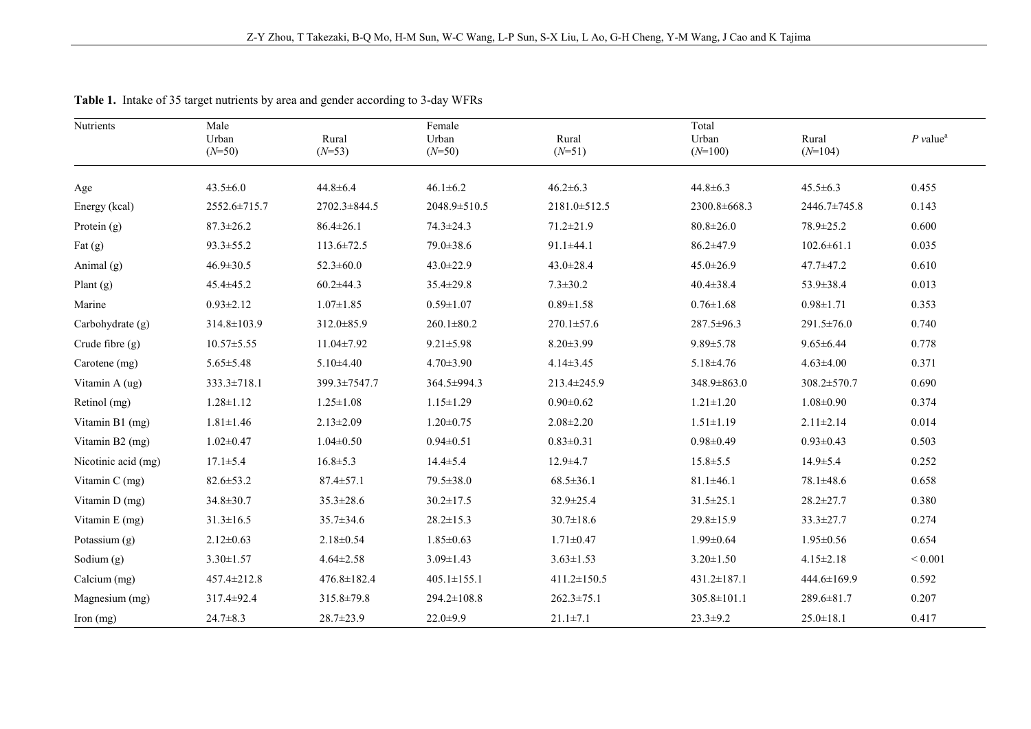| Nutrients           | Male<br>Urban<br>$(N=50)$ | Rural<br>$(N=53)$ | Female<br>Urban<br>$(N=50)$ | Rural<br>$(N=51)$ | Total<br>Urban<br>$(N=100)$ | Rural<br>$(N=104)$ | $P$ value <sup>a</sup> |
|---------------------|---------------------------|-------------------|-----------------------------|-------------------|-----------------------------|--------------------|------------------------|
|                     |                           |                   |                             |                   |                             |                    |                        |
| Age                 | $43.5 \pm 6.0$            | $44.8 \pm 6.4$    | $46.1 \pm 6.2$              | $46.2 \pm 6.3$    | $44.8 \pm 6.3$              | $45.5 \pm 6.3$     | 0.455                  |
| Energy (kcal)       | 2552.6±715.7              | 2702.3±844.5      | $2048.9 \pm 510.5$          | 2181.0±512.5      | 2300.8±668.3                | 2446.7±745.8       | 0.143                  |
| Protein (g)         | $87.3 \pm 26.2$           | $86.4 \pm 26.1$   | $74.3 \pm 24.3$             | $71.2 \pm 21.9$   | $80.8 \pm 26.0$             | 78.9±25.2          | 0.600                  |
| Fat $(g)$           | $93.3 \pm 55.2$           | $113.6 \pm 72.5$  | 79.0±38.6                   | $91.1 \pm 44.1$   | 86.2±47.9                   | $102.6 \pm 61.1$   | 0.035                  |
| Animal (g)          | $46.9 \pm 30.5$           | $52.3 \pm 60.0$   | $43.0 \pm 22.9$             | 43.0±28.4         | $45.0 \pm 26.9$             | 47.7±47.2          | 0.610                  |
| Plant $(g)$         | $45.4 \pm 45.2$           | $60.2 \pm 44.3$   | $35.4 \pm 29.8$             | $7.3 \pm 30.2$    | $40.4 \pm 38.4$             | 53.9±38.4          | 0.013                  |
| Marine              | $0.93 \pm 2.12$           | $1.07 \pm 1.85$   | $0.59 \pm 1.07$             | $0.89 \pm 1.58$   | $0.76 \pm 1.68$             | $0.98 \pm 1.71$    | 0.353                  |
| Carbohydrate (g)    | 314.8±103.9               | 312.0 ± 85.9      | $260.1 \pm 80.2$            | $270.1 \pm 57.6$  | 287.5±96.3                  | $291.5 \pm 76.0$   | 0.740                  |
| Crude fibre $(g)$   | $10.57 \pm 5.55$          | 11.04±7.92        | $9.21 \pm 5.98$             | $8.20 \pm 3.99$   | $9.89 \pm 5.78$             | $9.65 \pm 6.44$    | 0.778                  |
| Carotene (mg)       | $5.65 \pm 5.48$           | $5.10\pm4.40$     | $4.70 \pm 3.90$             | $4.14 \pm 3.45$   | $5.18\pm4.76$               | $4.63 \pm 4.00$    | 0.371                  |
| Vitamin A (ug)      | 333.3±718.1               | 399.3±7547.7      | 364.5±994.3                 | 213.4±245.9       | 348.9±863.0                 | 308.2±570.7        | 0.690                  |
| Retinol (mg)        | $1.28 \pm 1.12$           | $1.25 \pm 1.08$   | $1.15 \pm 1.29$             | $0.90 \pm 0.62$   | $1.21 \pm 1.20$             | $1.08 \pm 0.90$    | 0.374                  |
| Vitamin B1 (mg)     | $1.81 \pm 1.46$           | $2.13 \pm 2.09$   | $1.20 \pm 0.75$             | $2.08 \pm 2.20$   | $1.51 \pm 1.19$             | $2.11 \pm 2.14$    | 0.014                  |
| Vitamin B2 (mg)     | $1.02 \pm 0.47$           | $1.04 \pm 0.50$   | $0.94 \pm 0.51$             | $0.83 \pm 0.31$   | $0.98 \pm 0.49$             | $0.93 \pm 0.43$    | 0.503                  |
| Nicotinic acid (mg) | $17.1 \pm 5.4$            | $16.8 \pm 5.3$    | $14.4 \pm 5.4$              | $12.9 \pm 4.7$    | $15.8 \pm 5.5$              | $14.9 \pm 5.4$     | 0.252                  |
| Vitamin $C$ (mg)    | $82.6 \pm 53.2$           | $87.4 \pm 57.1$   | $79.5 \pm 38.0$             | $68.5 \pm 36.1$   | $81.1 \pm 46.1$             | $78.1 \pm 48.6$    | 0.658                  |
| Vitamin D (mg)      | 34.8±30.7                 | $35.3 \pm 28.6$   | $30.2 \pm 17.5$             | 32.9±25.4         | $31.5 \pm 25.1$             | $28.2 \pm 27.7$    | 0.380                  |
| Vitamin E (mg)      | $31.3 \pm 16.5$           | $35.7 \pm 34.6$   | $28.2 \pm 15.3$             | $30.7 \pm 18.6$   | $29.8 \pm 15.9$             | $33.3 \pm 27.7$    | 0.274                  |
| Potassium (g)       | $2.12 \pm 0.63$           | $2.18 \pm 0.54$   | $1.85 \pm 0.63$             | $1.71 \pm 0.47$   | $1.99 \pm 0.64$             | $1.95 \pm 0.56$    | 0.654                  |
| Sodium (g)          | $3.30 \pm 1.57$           | $4.64 \pm 2.58$   | $3.09 \pm 1.43$             | $3.63 \pm 1.53$   | $3.20 \pm 1.50$             | $4.15 \pm 2.18$    | ${}< 0.001$            |
| Calcium (mg)        | 457.4±212.8               | 476.8±182.4       | $405.1 \pm 155.1$           | 411.2±150.5       | $431.2 \pm 187.1$           | 444.6±169.9        | 0.592                  |
| Magnesium (mg)      | 317.4±92.4                | 315.8±79.8        | $294.2 \pm 108.8$           | $262.3 \pm 75.1$  | 305.8±101.1                 | 289.6±81.7         | 0.207                  |
| Iron $(mg)$         | $24.7 \pm 8.3$            | $28.7 \pm 23.9$   | $22.0 \pm 9.9$              | $21.1 \pm 7.1$    | $23.3 \pm 9.2$              | $25.0 \pm 18.1$    | 0.417                  |

**Table 1.** Intake of 35 target nutrients by area and gender according to 3-day WFRs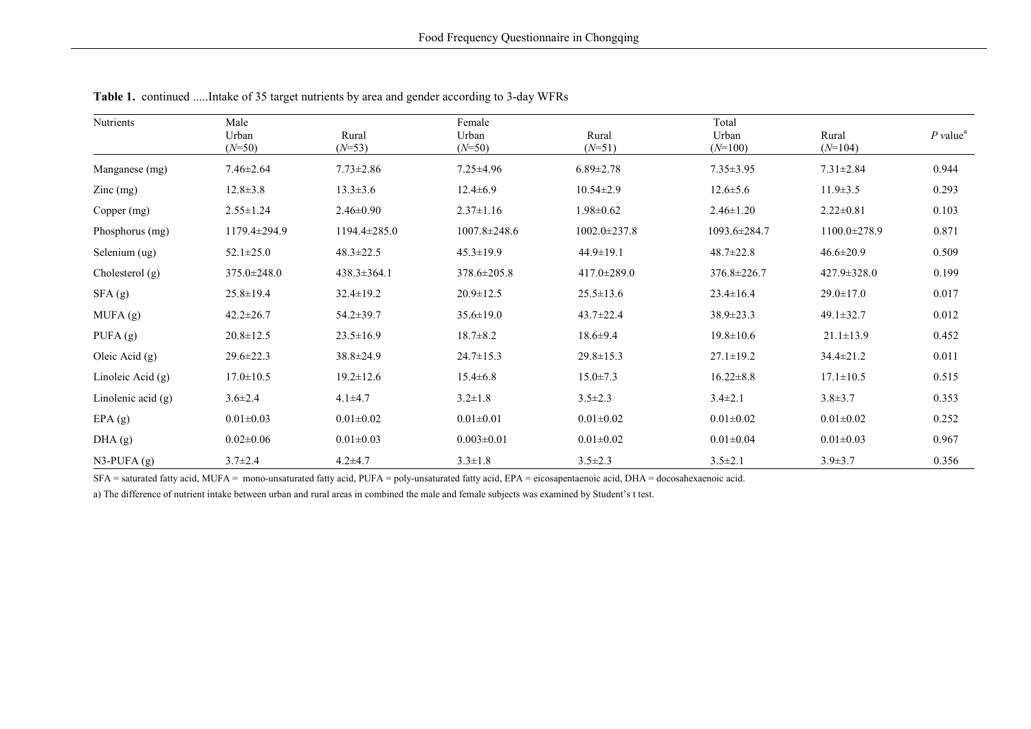| Nutrients                  | Male<br>Urban<br>$(N=50)$ | Rural<br>$(N=53)$ | Female<br>Urban<br>$(N=50)$ | Rural<br>$(N=51)$  | Total<br>Urban<br>$(N=100)$ | Rural<br>$(N=104)$ | $P$ value <sup>a</sup> |
|----------------------------|---------------------------|-------------------|-----------------------------|--------------------|-----------------------------|--------------------|------------------------|
| Manganese (mg)             | $7.46 \pm 2.64$           | $7.73 \pm 2.86$   | $7.25 \pm 4.96$             | $6.89 \pm 2.78$    | $7.35 \pm 3.95$             | $7.31 \pm 2.84$    | 0.944                  |
| $\text{Zinc} \text{ (mg)}$ | $12.8 \pm 3.8$            | $13.3 \pm 3.6$    | $12.4 \pm 6.9$              | $10.54 \pm 2.9$    | $12.6 \pm 5.6$              | $11.9 \pm 3.5$     | 0.293                  |
| Copper (mg)                | $2.55 \pm 1.24$           | $2.46 \pm 0.90$   | $2.37 \pm 1.16$             | $1.98 \pm 0.62$    | $2.46 \pm 1.20$             | $2.22 \pm 0.81$    | 0.103                  |
| Phosphorus (mg)            | 1179.4±294.9              | 1194.4±285.0      | 1007.8±248.6                | $1002.0 \pm 237.8$ | 1093.6±284.7                | 1100.0±278.9       | 0.871                  |
| Selenium (ug)              | $52.1 \pm 25.0$           | $48.3 \pm 22.5$   | $45.3 \pm 19.9$             | $44.9 \pm 19.1$    | $48.7 \pm 22.8$             | $46.6 \pm 20.9$    | 0.509                  |
| Cholesterol $(g)$          | $375.0 \pm 248.0$         | $438.3 \pm 364.1$ | $378.6 \pm 205.8$           | $417.0 \pm 289.0$  | 376.8±226.7                 | $427.9 \pm 328.0$  | 0.199                  |
| SFA (g)                    | $25.8 \pm 19.4$           | $32.4 \pm 19.2$   | $20.9 \pm 12.5$             | $25.5 \pm 13.6$    | $23.4 \pm 16.4$             | $29.0 \pm 17.0$    | 0.017                  |
| MUFA(g)                    | $42.2 \pm 26.7$           | $54.2 \pm 39.7$   | $35.6 \pm 19.0$             | $43.7 \pm 22.4$    | 38.9±23.3                   | $49.1 \pm 32.7$    | 0.012                  |
| PUFA $(g)$                 | $20.8 \pm 12.5$           | $23.5 \pm 16.9$   | $18.7 \pm 8.2$              | $18.6 \pm 9.4$     | $19.8 \pm 10.6$             | $21.1 \pm 13.9$    | 0.452                  |
| Oleic Acid (g)             | $29.6 \pm 22.3$           | $38.8 \pm 24.9$   | $24.7 \pm 15.3$             | $29.8 \pm 15.3$    | $27.1 \pm 19.2$             | $34.4 \pm 21.2$    | 0.011                  |
| Linoleic Acid $(g)$        | $17.0 \pm 10.5$           | $19.2 \pm 12.6$   | $15.4 \pm 6.8$              | $15.0 \pm 7.3$     | $16.22 \pm 8.8$             | $17.1 \pm 10.5$    | 0.515                  |
| Linolenic acid $(g)$       | $3.6 \pm 2.4$             | $4.1 \pm 4.7$     | $3.2 \pm 1.8$               | $3.5 \pm 2.3$      | $3.4 \pm 2.1$               | $3.8 \pm 3.7$      | 0.353                  |
| EPA(g)                     | $0.01 \pm 0.03$           | $0.01 \pm 0.02$   | $0.01 \pm 0.01$             | $0.01 \pm 0.02$    | $0.01 \pm 0.02$             | $0.01 \pm 0.02$    | 0.252                  |
| DHA(g)                     | $0.02 \pm 0.06$           | $0.01 \pm 0.03$   | $0.003 \pm 0.01$            | $0.01 \pm 0.02$    | $0.01 \pm 0.04$             | $0.01 \pm 0.03$    | 0.967                  |
| $N3-PUFA(g)$               | $3.7 \pm 2.4$             | $4.2 + 4.7$       | $3.3 \pm 1.8$               | $3.5 \pm 2.3$      | $3.5 \pm 2.1$               | $3.9 \pm 3.7$      | 0.356                  |

**Table 1.** continued .....Intake of 35 target nutrients by area and gender according to 3-day WFRs

SFA = saturated fatty acid, MUFA = mono-unsaturated fatty acid, PUFA = poly-unsaturated fatty acid, EPA = eicosapentaenoic acid, DHA = docosahexaenoic acid.

a) The difference of nutrient intake between urban and rural areas in combined the male and female subjects was examined by Student's t test.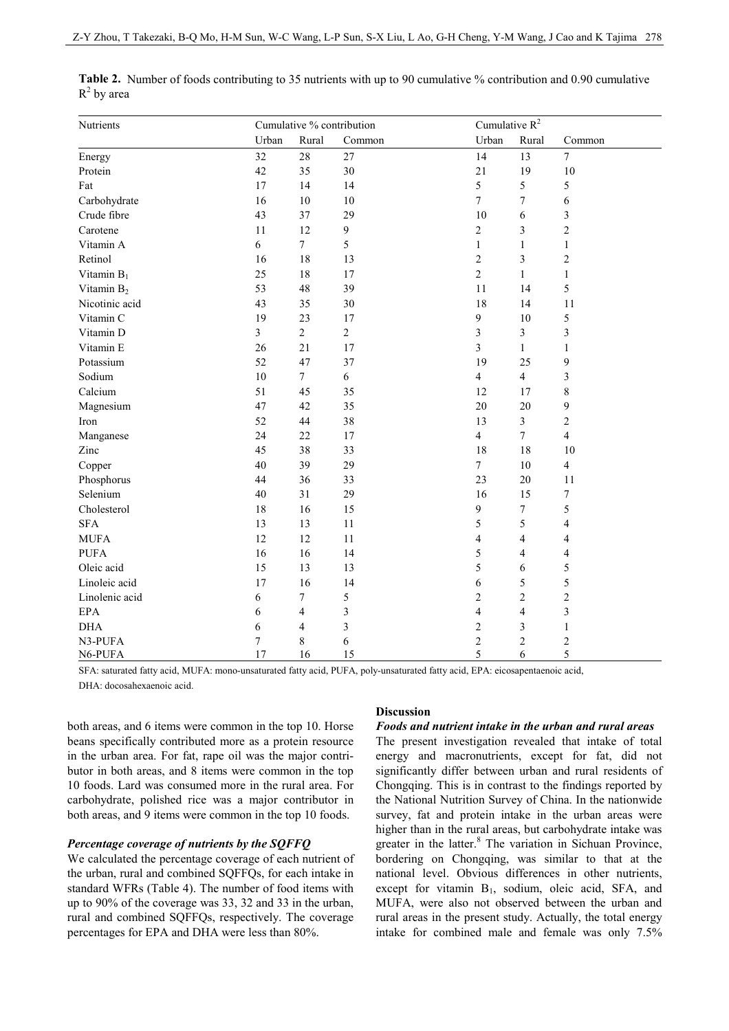| Nutrients              | Cumulative % contribution |                |              | Cumulative $R^2$ |                          |                  |
|------------------------|---------------------------|----------------|--------------|------------------|--------------------------|------------------|
|                        | Urban                     | Rural          | Common       | Urban            | Rural                    | Common           |
| Energy                 | 32                        | 28             | 27           | 14               | 13                       | $\overline{7}$   |
| Protein                | 42                        | 35             | 30           | 21               | 19                       | 10               |
| Fat                    | 17                        | 14             | 14           | 5                | 5                        | 5                |
| Carbohydrate           | 16                        | $10\,$         | $10\,$       | $\boldsymbol{7}$ | $\tau$                   | $\epsilon$       |
| Crude fibre            | 43                        | 37             | 29           | 10               | 6                        | $\sqrt{3}$       |
| Carotene               | 11                        | 12             | 9            | $\sqrt{2}$       | $\mathfrak{Z}$           | $\sqrt{2}$       |
| Vitamin A              | 6                         | $\tau$         | 5            | $\mathbf{1}$     | $\mathbf{1}$             | $\mathbf{1}$     |
| Retinol                | 16                        | 18             | 13           | $\overline{2}$   | 3                        | $\overline{c}$   |
| Vitamin $B_1$          | 25                        | 18             | $17\,$       | $\overline{c}$   | $\mathbf{1}$             | $\mathbf{1}$     |
| Vitamin B <sub>2</sub> | 53                        | 48             | 39           | 11               | 14                       | 5                |
| Nicotinic acid         | 43                        | 35             | 30           | 18               | 14                       | 11               |
| Vitamin C              | 19                        | 23             | 17           | $\boldsymbol{9}$ | 10                       | 5                |
| Vitamin D              | $\overline{\mathbf{3}}$   | $\overline{c}$ | $\mathbf{2}$ | $\overline{3}$   | 3                        | $\mathfrak{Z}$   |
| Vitamin E              | 26                        | 21             | 17           | $\mathfrak{Z}$   | $\mathbf{1}$             | $\mathbf{1}$     |
| Potassium              | 52                        | 47             | 37           | 19               | 25                       | 9                |
| Sodium                 | 10                        | $\tau$         | 6            | $\overline{4}$   | $\overline{4}$           | $\sqrt{3}$       |
| Calcium                | 51                        | 45             | 35           | 12               | 17                       | $\,$ 8 $\,$      |
| Magnesium              | 47                        | 42             | 35           | 20               | 20                       | $\boldsymbol{9}$ |
| Iron                   | 52                        | 44             | 38           | 13               | $\overline{\mathbf{3}}$  | $\sqrt{2}$       |
| Manganese              | 24                        | 22             | $17\,$       | $\overline{4}$   | $\tau$                   | $\overline{4}$   |
| Zinc                   | 45                        | 38             | 33           | 18               | 18                       | 10               |
| Copper                 | 40                        | 39             | 29           | $\boldsymbol{7}$ | 10                       | $\overline{4}$   |
| Phosphorus             | 44                        | 36             | 33           | 23               | 20                       | 11               |
| Selenium               | 40                        | 31             | 29           | 16               | 15                       | $\boldsymbol{7}$ |
| Cholesterol            | 18                        | 16             | 15           | $\boldsymbol{9}$ | $\tau$                   | $\sqrt{5}$       |
| <b>SFA</b>             | 13                        | 13             | 11           | 5                | 5                        | $\overline{4}$   |
| <b>MUFA</b>            | 12                        | 12             | 11           | $\overline{4}$   | $\overline{\mathbf{4}}$  | $\overline{4}$   |
| <b>PUFA</b>            | 16                        | 16             | 14           | 5                | $\overline{4}$           | $\overline{4}$   |
| Oleic acid             | 15                        | 13             | 13           | 5                | 6                        | 5                |
| Linoleic acid          | 17                        | 16             | 14           | $\sqrt{6}$       | 5                        | 5                |
| Linolenic acid         | 6                         | 7              | 5            | $\sqrt{2}$       | $\overline{c}$           | $\overline{c}$   |
| <b>EPA</b>             | 6                         | $\overline{4}$ | 3            | $\overline{4}$   | $\overline{\mathcal{L}}$ | $\mathfrak{Z}$   |
| <b>DHA</b>             | 6                         | 4              | 3            | $\sqrt{2}$       | $\mathfrak{Z}$           | $\mathbf{1}$     |
| N3-PUFA                | 7                         | 8              | 6            | $\sqrt{2}$       | $\overline{c}$           | $\sqrt{2}$       |
| N6-PUFA                | 17                        | 16             | 15           | 5                | 6                        | 5                |

**Table 2.** Number of foods contributing to 35 nutrients with up to 90 cumulative % contribution and 0.90 cumulative  $R^2$  by area

SFA: saturated fatty acid, MUFA: mono-unsaturated fatty acid, PUFA, poly-unsaturated fatty acid, EPA: eicosapentaenoic acid, DHA: docosahexaenoic acid.

both areas, and 6 items were common in the top 10. Horse beans specifically contributed more as a protein resource in the urban area. For fat, rape oil was the major contributor in both areas, and 8 items were common in the top 10 foods. Lard was consumed more in the rural area. For carbohydrate, polished rice was a major contributor in both areas, and 9 items were common in the top 10 foods.

#### *Percentage coverage of nutrients by the SQFFQ*

We calculated the percentage coverage of each nutrient of the urban, rural and combined SQFFQs, for each intake in standard WFRs (Table 4). The number of food items with up to 90% of the coverage was 33, 32 and 33 in the urban, rural and combined SQFFQs, respectively. The coverage percentages for EPA and DHA were less than 80%.

# **Discussion**

#### *Foods and nutrient intake in the urban and rural areas*

The present investigation revealed that intake of total energy and macronutrients, except for fat, did not significantly differ between urban and rural residents of Chongqing. This is in contrast to the findings reported by the National Nutrition Survey of China. In the nationwide survey, fat and protein intake in the urban areas were higher than in the rural areas, but carbohydrate intake was greater in the latter.<sup>8</sup> The variation in Sichuan Province, bordering on Chongqing, was similar to that at the national level. Obvious differences in other nutrients, except for vitamin B<sub>1</sub>, sodium, oleic acid, SFA, and MUFA, were also not observed between the urban and rural areas in the present study. Actually, the total energy intake for combined male and female was only 7.5%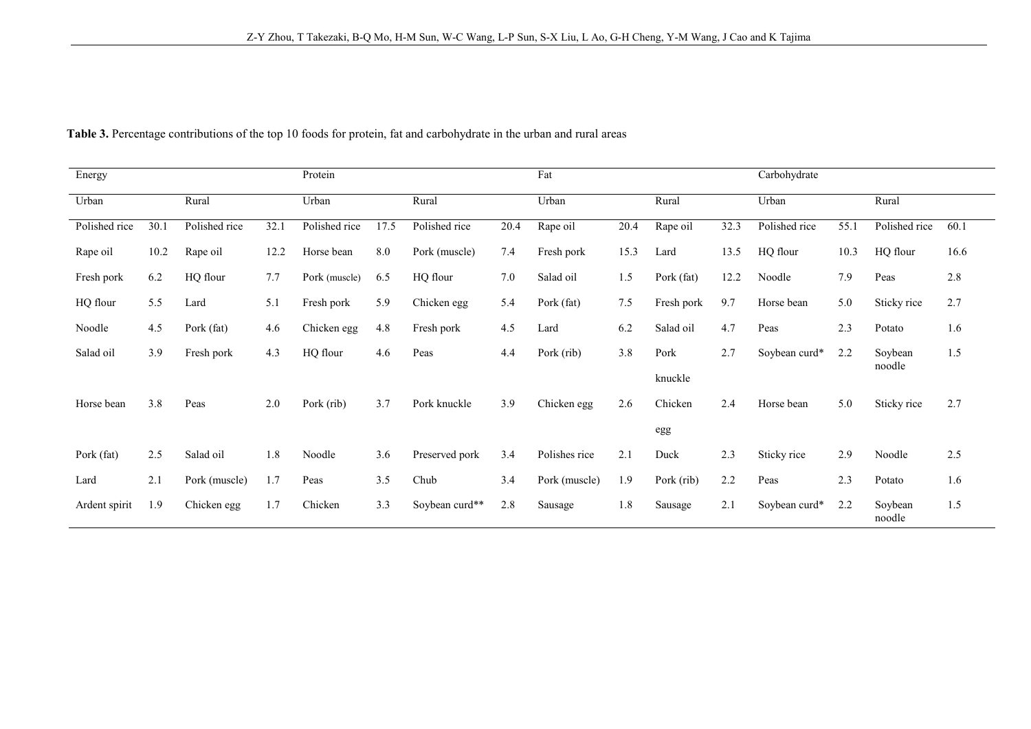| Energy        |      |               |      | Protein       |      |                |      | Fat           |      |            |      | Carbohydrate  |      |                   |      |
|---------------|------|---------------|------|---------------|------|----------------|------|---------------|------|------------|------|---------------|------|-------------------|------|
| Urban         |      | Rural         |      | Urban         |      | Rural          |      | Urban         |      | Rural      |      | Urban         |      | Rural             |      |
| Polished rice | 30.1 | Polished rice | 32.1 | Polished rice | 17.5 | Polished rice  | 20.4 | Rape oil      | 20.4 | Rape oil   | 32.3 | Polished rice | 55.1 | Polished rice     | 60.1 |
| Rape oil      | 10.2 | Rape oil      | 12.2 | Horse bean    | 8.0  | Pork (muscle)  | 7.4  | Fresh pork    | 15.3 | Lard       | 13.5 | HQ flour      | 10.3 | HQ flour          | 16.6 |
| Fresh pork    | 6.2  | HQ flour      | 7.7  | Pork (muscle) | 6.5  | HQ flour       | 7.0  | Salad oil     | 1.5  | Pork (fat) | 12.2 | Noodle        | 7.9  | Peas              | 2.8  |
| HQ flour      | 5.5  | Lard          | 5.1  | Fresh pork    | 5.9  | Chicken egg    | 5.4  | Pork (fat)    | 7.5  | Fresh pork | 9.7  | Horse bean    | 5.0  | Sticky rice       | 2.7  |
| Noodle        | 4.5  | Pork (fat)    | 4.6  | Chicken egg   | 4.8  | Fresh pork     | 4.5  | Lard          | 6.2  | Salad oil  | 4.7  | Peas          | 2.3  | Potato            | 1.6  |
| Salad oil     | 3.9  | Fresh pork    | 4.3  | HQ flour      | 4.6  | Peas           | 4.4  | Pork (rib)    | 3.8  | Pork       | 2.7  | Soybean curd* | 2.2  | Soybean<br>noodle | 1.5  |
|               |      |               |      |               |      |                |      |               |      | knuckle    |      |               |      |                   |      |
| Horse bean    | 3.8  | Peas          | 2.0  | Pork (rib)    | 3.7  | Pork knuckle   | 3.9  | Chicken egg   | 2.6  | Chicken    | 2.4  | Horse bean    | 5.0  | Sticky rice       | 2.7  |
|               |      |               |      |               |      |                |      |               |      | egg        |      |               |      |                   |      |
| Pork (fat)    | 2.5  | Salad oil     | 1.8  | Noodle        | 3.6  | Preserved pork | 3.4  | Polishes rice | 2.1  | Duck       | 2.3  | Sticky rice   | 2.9  | Noodle            | 2.5  |
| Lard          | 2.1  | Pork (muscle) | 1.7  | Peas          | 3.5  | Chub           | 3.4  | Pork (muscle) | 1.9  | Pork (rib) | 2.2  | Peas          | 2.3  | Potato            | 1.6  |
| Ardent spirit | 1.9  | Chicken egg   | 1.7  | Chicken       | 3.3  | Soybean curd** | 2.8  | Sausage       | 1.8  | Sausage    | 2.1  | Soybean curd* | 2.2  | Soybean<br>noodle | 1.5  |

**Table 3.** Percentage contributions of the top 10 foods for protein, fat and carbohydrate in the urban and rural areas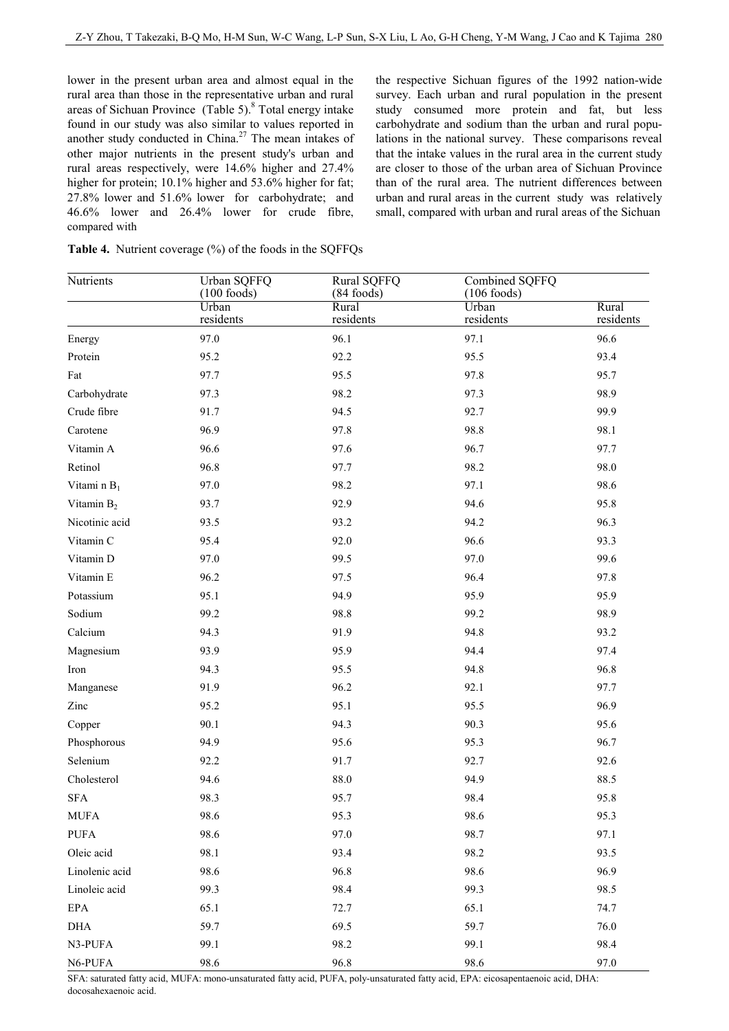lower in the present urban area and almost equal in the rural area than those in the representative urban and rural areas of Sichuan Province  $(Table 5)$ .<sup>8</sup> Total energy intake found in our study was also similar to values reported in another study conducted in China. $27$  The mean intakes of other major nutrients in the present study's urban and rural areas respectively, were 14.6% higher and 27.4% higher for protein; 10.1% higher and 53.6% higher for fat; 27.8% lower and 51.6% lower for carbohydrate; and 46.6% lower and 26.4% lower for crude fibre, compared with

the respective Sichuan figures of the 1992 nation-wide survey. Each urban and rural population in the present study consumed more protein and fat, but less carbohydrate and sodium than the urban and rural populations in the national survey. These comparisons reveal that the intake values in the rural area in the current study are closer to those of the urban area of Sichuan Province than of the rural area. The nutrient differences between urban and rural areas in the current study was relatively small, compared with urban and rural areas of the Sichuan

| Nutrients      | Urban SQFFQ<br>$(100$ foods) | Rural SQFFQ<br>$(84$ foods) | Combined SQFFQ<br>$(106$ foods) |                    |
|----------------|------------------------------|-----------------------------|---------------------------------|--------------------|
|                | Urban<br>residents           | Rural<br>residents          | Urban<br>residents              | Rural<br>residents |
| Energy         | 97.0                         | 96.1                        | 97.1                            | 96.6               |
| Protein        | 95.2                         | 92.2                        | 95.5                            | 93.4               |
| Fat            | 97.7                         | 95.5                        | 97.8                            | 95.7               |
| Carbohydrate   | 97.3                         | 98.2                        | 97.3                            | 98.9               |
| Crude fibre    | 91.7                         | 94.5                        | 92.7                            | 99.9               |
| Carotene       | 96.9                         | 97.8                        | 98.8                            | 98.1               |
| Vitamin A      | 96.6                         | 97.6                        | 96.7                            | 97.7               |
| Retinol        | 96.8                         | 97.7                        | 98.2                            | 98.0               |
| Vitami n $B_1$ | 97.0                         | 98.2                        | 97.1                            | 98.6               |
| Vitamin $B_2$  | 93.7                         | 92.9                        | 94.6                            | 95.8               |
| Nicotinic acid | 93.5                         | 93.2                        | 94.2                            | 96.3               |
| Vitamin C      | 95.4                         | 92.0                        | 96.6                            | 93.3               |
| Vitamin D      | 97.0                         | 99.5                        | 97.0                            | 99.6               |
| Vitamin E      | 96.2                         | 97.5                        | 96.4                            | 97.8               |
| Potassium      | 95.1                         | 94.9                        | 95.9                            | 95.9               |
| Sodium         | 99.2                         | 98.8                        | 99.2                            | 98.9               |
| Calcium        | 94.3                         | 91.9                        | 94.8                            | 93.2               |
| Magnesium      | 93.9                         | 95.9                        | 94.4                            | 97.4               |
| Iron           | 94.3                         | 95.5                        | 94.8                            | 96.8               |
| Manganese      | 91.9                         | 96.2                        | 92.1                            | 97.7               |
| Zinc           | 95.2                         | 95.1                        | 95.5                            | 96.9               |
| Copper         | 90.1                         | 94.3                        | 90.3                            | 95.6               |
| Phosphorous    | 94.9                         | 95.6                        | 95.3                            | 96.7               |
| Selenium       | 92.2                         | 91.7                        | 92.7                            | 92.6               |
| Cholesterol    | 94.6                         | $88.0\,$                    | 94.9                            | 88.5               |
| ${\rm SFA}$    | 98.3                         | 95.7                        | 98.4                            | 95.8               |
| <b>MUFA</b>    | 98.6                         | 95.3                        | 98.6                            | 95.3               |
| <b>PUFA</b>    | 98.6                         | 97.0                        | 98.7                            | 97.1               |
| Oleic acid     | 98.1                         | 93.4                        | 98.2                            | 93.5               |
| Linolenic acid | 98.6                         | 96.8                        | 98.6                            | 96.9               |
| Linoleic acid  | 99.3                         | 98.4                        | 99.3                            | 98.5               |
| $\rm{EPA}$     | 65.1                         | 72.7                        | 65.1                            | 74.7               |
| DHA            | 59.7                         | 69.5                        | 59.7                            | 76.0               |
| N3-PUFA        | 99.1                         | 98.2                        | 99.1                            | 98.4               |
| N6-PUFA        | 98.6                         | 96.8                        | 98.6                            | 97.0               |

|  | <b>Table 4.</b> Nutrient coverage (%) of the foods in the SQFFQs |  |  |  |  |  |
|--|------------------------------------------------------------------|--|--|--|--|--|
|--|------------------------------------------------------------------|--|--|--|--|--|

SFA: saturated fatty acid, MUFA: mono-unsaturated fatty acid, PUFA, poly-unsaturated fatty acid, EPA: eicosapentaenoic acid, DHA: docosahexaenoic acid.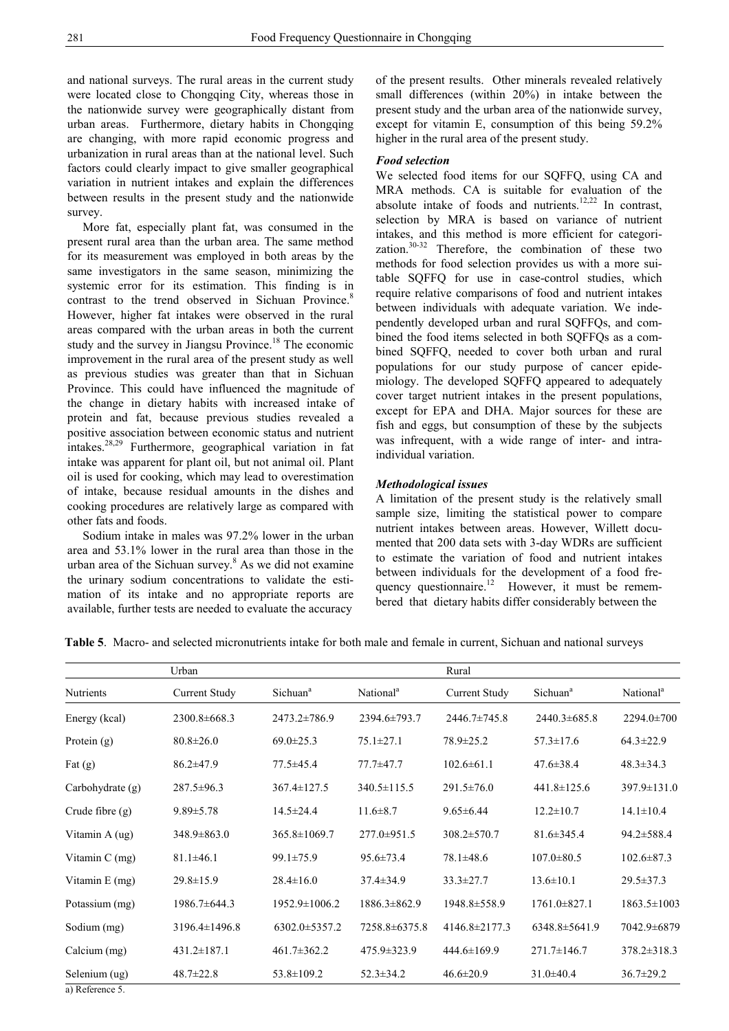and national surveys. The rural areas in the current study were located close to Chongqing City, whereas those in the nationwide survey were geographically distant from urban areas. Furthermore, dietary habits in Chongqing are changing, with more rapid economic progress and urbanization in rural areas than at the national level. Such factors could clearly impact to give smaller geographical variation in nutrient intakes and explain the differences between results in the present study and the nationwide survey.

 More fat, especially plant fat, was consumed in the present rural area than the urban area. The same method for its measurement was employed in both areas by the same investigators in the same season, minimizing the systemic error for its estimation. This finding is in contrast to the trend observed in Sichuan Province.<sup>8</sup> However, higher fat intakes were observed in the rural areas compared with the urban areas in both the current study and the survey in Jiangsu Province.<sup>18</sup> The economic improvement in the rural area of the present study as well as previous studies was greater than that in Sichuan Province. This could have influenced the magnitude of the change in dietary habits with increased intake of protein and fat, because previous studies revealed a positive association between economic status and nutrient intakes.28,29 Furthermore, geographical variation in fat intake was apparent for plant oil, but not animal oil. Plant oil is used for cooking, which may lead to overestimation of intake, because residual amounts in the dishes and cooking procedures are relatively large as compared with other fats and foods.

 Sodium intake in males was 97.2% lower in the urban area and 53.1% lower in the rural area than those in the urban area of the Sichuan survey.<sup>8</sup> As we did not examine the urinary sodium concentrations to validate the estimation of its intake and no appropriate reports are available, further tests are needed to evaluate the accuracy

of the present results. Other minerals revealed relatively small differences (within 20%) in intake between the present study and the urban area of the nationwide survey, except for vitamin E, consumption of this being 59.2% higher in the rural area of the present study.

### *Food selection*

We selected food items for our SQFFQ, using CA and MRA methods. CA is suitable for evaluation of the absolute intake of foods and nutrients.<sup>12,22</sup> In contrast, selection by MRA is based on variance of nutrient intakes, and this method is more efficient for categorization. $30-32$  Therefore, the combination of these two methods for food selection provides us with a more suitable SQFFQ for use in case-control studies, which require relative comparisons of food and nutrient intakes between individuals with adequate variation. We independently developed urban and rural SQFFQs, and combined the food items selected in both SQFFQs as a combined SQFFQ, needed to cover both urban and rural populations for our study purpose of cancer epidemiology. The developed SQFFQ appeared to adequately cover target nutrient intakes in the present populations, except for EPA and DHA. Major sources for these are fish and eggs, but consumption of these by the subjects was infrequent, with a wide range of inter- and intraindividual variation.

# *Methodological issues*

A limitation of the present study is the relatively small sample size, limiting the statistical power to compare nutrient intakes between areas. However, Willett documented that 200 data sets with 3-day WDRs are sufficient to estimate the variation of food and nutrient intakes between individuals for the development of a food frequency questionnaire.<sup>12</sup> However, it must be remembered that dietary habits differ considerably between the

**Table 5**. Macro- and selected micronutrients intake for both male and female in current, Sichuan and national surveys

|                   | Urban                |                      |                       | Rural                |                      |                       |
|-------------------|----------------------|----------------------|-----------------------|----------------------|----------------------|-----------------------|
| Nutrients         | <b>Current Study</b> | Sichuan <sup>a</sup> | National <sup>a</sup> | <b>Current Study</b> | Sichuan <sup>a</sup> | National <sup>a</sup> |
| Energy (kcal)     | 2300.8±668.3         | $2473.2 \pm 786.9$   | 2394.6±793.7          | 2446.7±745.8         | $2440.3 \pm 685.8$   | 2294.0±700            |
| Protein $(g)$     | $80.8 \pm 26.0$      | $69.0 \pm 25.3$      | $75.1 \pm 27.1$       | $78.9 \pm 25.2$      | $57.3 \pm 17.6$      | $64.3 \pm 22.9$       |
| Fat $(g)$         | $86.2 \pm 47.9$      | $77.5 \pm 45.4$      | 77.7±47.7             | $102.6 \pm 61.1$     | $47.6 \pm 38.4$      | $48.3 \pm 34.3$       |
| Carbohydrate (g)  | $287.5 \pm 96.3$     | $367.4 \pm 127.5$    | $340.5 \pm 115.5$     | $291.5 \pm 76.0$     | $441.8 \pm 125.6$    | $397.9 \pm 131.0$     |
| Crude fibre $(g)$ | $9.89 \pm 5.78$      | $14.5 \pm 24.4$      | $11.6 \pm 8.7$        | $9.65 \pm 6.44$      | $12.2 \pm 10.7$      | $14.1 \pm 10.4$       |
| Vitamin A (ug)    | $348.9 \pm 863.0$    | $365.8 \pm 1069.7$   | $277.0 \pm 951.5$     | $308.2 \pm 570.7$    | $81.6 \pm 345.4$     | 94.2±588.4            |
| Vitamin $C$ (mg)  | $81.1 \pm 46.1$      | $99.1 \pm 75.9$      | $95.6 \pm 73.4$       | $78.1 \pm 48.6$      | $107.0 \pm 80.5$     | $102.6 \pm 87.3$      |
| Vitamin E (mg)    | $29.8 \pm 15.9$      | $28.4 \pm 16.0$      | $37.4 \pm 34.9$       | $33.3 \pm 27.7$      | $13.6 \pm 10.1$      | $29.5 \pm 37.3$       |
| Potassium (mg)    | 1986.7±644.3         | $1952.9 \pm 1006.2$  | $1886.3 \pm 862.9$    | 1948.8±558.9         | $1761.0 \pm 827.1$   | $1863.5 \pm 1003$     |
| Sodium (mg)       | 3196.4±1496.8        | $6302.0 \pm 5357.2$  | 7258.8±6375.8         | $4146.8 \pm 2177.3$  | $6348.8 \pm 5641.9$  | 7042.9±6879           |
| Calcium (mg)      | $431.2 \pm 187.1$    | $461.7 \pm 362.2$    | 475.9 ± 323.9         | $444.6 \pm 169.9$    | $271.7 \pm 146.7$    | $378.2 \pm 318.3$     |
| Selenium (ug)     | $48.7 \pm 22.8$      | $53.8 \pm 109.2$     | $52.3 \pm 34.2$       | $46.6 \pm 20.9$      | $31.0\pm 40.4$       | $36.7 \pm 29.2$       |

a) Reference 5.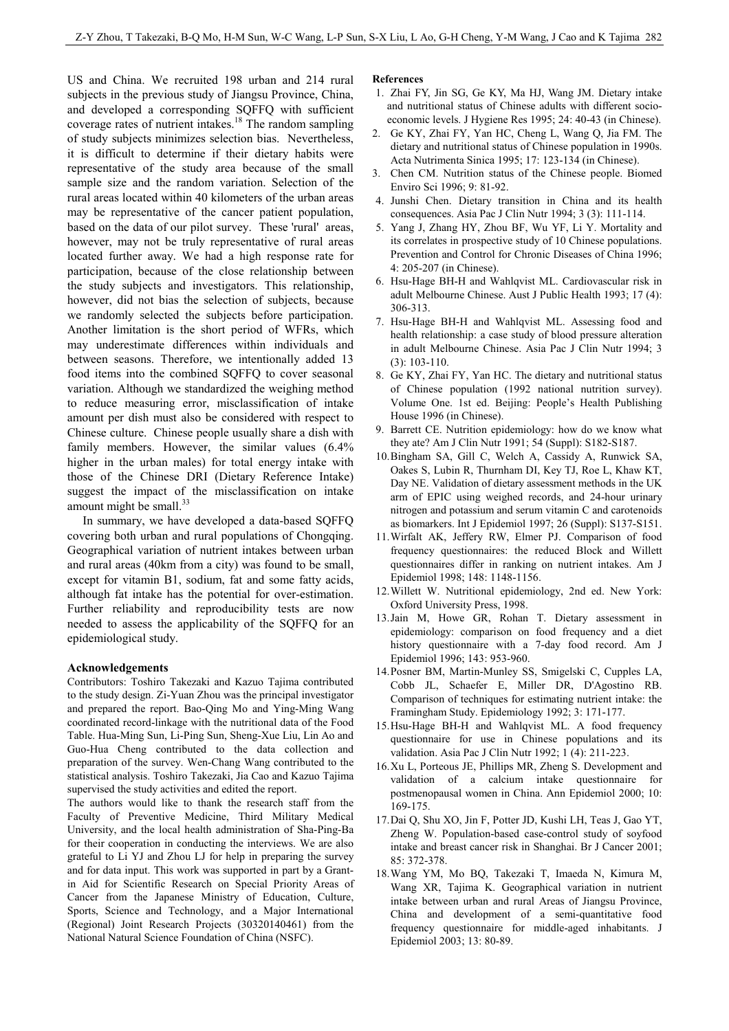US and China. We recruited 198 urban and 214 rural subjects in the previous study of Jiangsu Province, China, and developed a corresponding SQFFQ with sufficient coverage rates of nutrient intakes.<sup>18</sup> The random sampling of study subjects minimizes selection bias. Nevertheless, it is difficult to determine if their dietary habits were representative of the study area because of the small sample size and the random variation. Selection of the rural areas located within 40 kilometers of the urban areas may be representative of the cancer patient population, based on the data of our pilot survey. These 'rural' areas, however, may not be truly representative of rural areas located further away. We had a high response rate for participation, because of the close relationship between the study subjects and investigators. This relationship, however, did not bias the selection of subjects, because we randomly selected the subjects before participation. Another limitation is the short period of WFRs, which may underestimate differences within individuals and between seasons. Therefore, we intentionally added 13 food items into the combined SQFFQ to cover seasonal variation. Although we standardized the weighing method to reduce measuring error, misclassification of intake amount per dish must also be considered with respect to Chinese culture. Chinese people usually share a dish with family members. However, the similar values  $(6.4\%$ higher in the urban males) for total energy intake with those of the Chinese DRI (Dietary Reference Intake) suggest the impact of the misclassification on intake amount might be small.<sup>33</sup>

 In summary, we have developed a data-based SQFFQ covering both urban and rural populations of Chongqing. Geographical variation of nutrient intakes between urban and rural areas (40km from a city) was found to be small, except for vitamin B1, sodium, fat and some fatty acids, although fat intake has the potential for over-estimation. Further reliability and reproducibility tests are now needed to assess the applicability of the SQFFQ for an epidemiological study.

#### **Acknowledgements**

Contributors: Toshiro Takezaki and Kazuo Tajima contributed to the study design. Zi-Yuan Zhou was the principal investigator and prepared the report. Bao-Qing Mo and Ying-Ming Wang coordinated record-linkage with the nutritional data of the Food Table. Hua-Ming Sun, Li-Ping Sun, Sheng-Xue Liu, Lin Ao and Guo-Hua Cheng contributed to the data collection and preparation of the survey. Wen-Chang Wang contributed to the statistical analysis. Toshiro Takezaki, Jia Cao and Kazuo Tajima supervised the study activities and edited the report.

The authors would like to thank the research staff from the Faculty of Preventive Medicine, Third Military Medical University, and the local health administration of Sha-Ping-Ba for their cooperation in conducting the interviews. We are also grateful to Li YJ and Zhou LJ for help in preparing the survey and for data input. This work was supported in part by a Grantin Aid for Scientific Research on Special Priority Areas of Cancer from the Japanese Ministry of Education, Culture, Sports, Science and Technology, and a Major International (Regional) Joint Research Projects (30320140461) from the National Natural Science Foundation of China (NSFC).

#### **References**

- 1. Zhai FY, Jin SG, Ge KY, Ma HJ, Wang JM. Dietary intake and nutritional status of Chinese adults with different socioeconomic levels. J Hygiene Res 1995; 24: 40-43 (in Chinese).
- 2. Ge KY, Zhai FY, Yan HC, Cheng L, Wang Q, Jia FM. The dietary and nutritional status of Chinese population in 1990s. Acta Nutrimenta Sinica 1995; 17: 123-134 (in Chinese).
- 3. Chen CM. Nutrition status of the Chinese people. Biomed Enviro Sci 1996; 9: 81-92.
- 4. Junshi Chen. Dietary transition in China and its health consequences. Asia Pac J Clin Nutr 1994; 3 (3): 111-114.
- 5. Yang J, Zhang HY, Zhou BF, Wu YF, Li Y. Mortality and its correlates in prospective study of 10 Chinese populations. Prevention and Control for Chronic Diseases of China 1996; 4: 205-207 (in Chinese).
- 6. Hsu-Hage BH-H and Wahlqvist ML. Cardiovascular risk in adult Melbourne Chinese. Aust J Public Health 1993; 17 (4): 306-313.
- 7. Hsu-Hage BH-H and Wahlqvist ML. Assessing food and health relationship: a case study of blood pressure alteration in adult Melbourne Chinese. Asia Pac J Clin Nutr 1994; 3 (3): 103-110.
- 8. Ge KY, Zhai FY, Yan HC. The dietary and nutritional status of Chinese population (1992 national nutrition survey). Volume One. 1st ed. Beijing: People's Health Publishing House 1996 (in Chinese).
- 9. Barrett CE. Nutrition epidemiology: how do we know what they ate? Am J Clin Nutr 1991; 54 (Suppl): S182-S187.
- 10. Bingham SA, Gill C, Welch A, Cassidy A, Runwick SA, Oakes S, Lubin R, Thurnham DI, Key TJ, Roe L, Khaw KT, Day NE. Validation of dietary assessment methods in the UK arm of EPIC using weighed records, and 24-hour urinary nitrogen and potassium and serum vitamin C and carotenoids as biomarkers. Int J Epidemiol 1997; 26 (Suppl): S137-S151.
- 11. Wirfalt AK, Jeffery RW, Elmer PJ. Comparison of food frequency questionnaires: the reduced Block and Willett questionnaires differ in ranking on nutrient intakes. Am J Epidemiol 1998; 148: 1148-1156.
- 12. Willett W. Nutritional epidemiology, 2nd ed. New York: Oxford University Press, 1998.
- 13. Jain M, Howe GR, Rohan T. Dietary assessment in epidemiology: comparison on food frequency and a diet history questionnaire with a 7-day food record. Am J Epidemiol 1996; 143: 953-960.
- 14. Posner BM, Martin-Munley SS, Smigelski C, Cupples LA, Cobb JL, Schaefer E, Miller DR, D'Agostino RB. Comparison of techniques for estimating nutrient intake: the Framingham Study. Epidemiology 1992; 3: 171-177.
- 15. Hsu-Hage BH-H and Wahlqvist ML. A food frequency questionnaire for use in Chinese populations and its validation. Asia Pac J Clin Nutr 1992; 1 (4): 211-223.
- 16. Xu L, Porteous JE, Phillips MR, Zheng S. Development and validation of a calcium intake questionnaire for postmenopausal women in China. Ann Epidemiol 2000; 10: 169-175.
- 17. Dai Q, Shu XO, Jin F, Potter JD, Kushi LH, Teas J, Gao YT, Zheng W. Population-based case-control study of soyfood intake and breast cancer risk in Shanghai. Br J Cancer 2001; 85: 372-378.
- 18. Wang YM, Mo BQ, Takezaki T, Imaeda N, Kimura M, Wang XR, Tajima K. Geographical variation in nutrient intake between urban and rural Areas of Jiangsu Province, China and development of a semi-quantitative food frequency questionnaire for middle-aged inhabitants. J Epidemiol 2003; 13: 80-89.